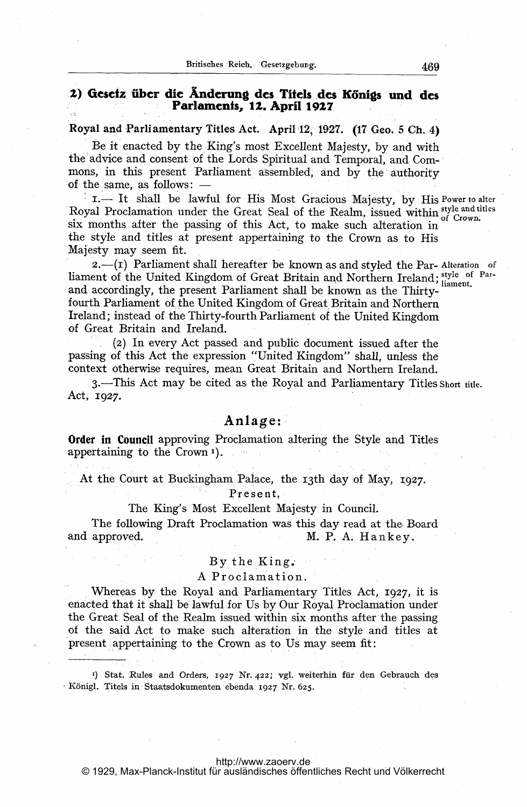# 2) Gesetz über die Änderung des Titels des Königs und des Parlaments, 1Z. April 19Z7

Royal and Parliamentary Titles Act. April)12, 1927. (17 Geo. <sup>5</sup> Ch. 4)

Be it enacted by the King's most Excellent Majesty, by and with the advice and consent of the Lords Spiritual and Temporal, and Commons, in this present Parliament assembled, and by the authority of the same, as follows:  $-$ 

1.- It shall be lawful for His Most Gracious Majesty, by His Power to alter Royal Proclamation under the Great Seal of the Realm, issued within style and titles six months after the passing of this Act, to make such alteration in the style and titles at present appertaining to the Crown as to His Majesty may seem fit.

 $2.-(1)$  Parliament shall hereafter be known as and styled the Par-Alteration of liament of the United Kingdom of Great Britain and Northern Ireland; style of Parand accordingly, the present Parliament shall be known as the Thirtyfourth Parliament of the United Kingdom of Great Britain and Northern Ireland; instead of the Thirty-fourth Parliament of the United Kingdom of Great Britain and Ireland.

(2) In every Act passed and public document issued after the passing of this Act the expression "United Kingdom" shall, unless the context otherwise requires, mean Great Britain and Northern Ireland.

3-This Act may be cited as the Royal and Parliamentary Titles Short title. Act, 1927.

# Anlage:'

Order in Council approving Proclamation altering the Style and Titles appertaining to the Crown<sup>1</sup>).

At the Court at Buckingham Palace, the 13th day of May, 1927.

Present,

### The King's Most Excellent Majesty in Council.

The following Draft Proclamation was this day read at the. Board and approved. M. P. A. Hankey.

### By the King.,

## A Proclamation.

Whereas by the Royal and Parliamentary Titles Act, 1927, it is enacted that it shall be lawful for Us by Our Royal Proclamation under the Great Seal of the Realm issued within six months after the passing of the. said Art to make such alteration in the style and titles at present appertaining to the Crown as to Us may seem fit:

<sup>1</sup>) Stat. Rules and Orders, 1927 Nr. 422; vgl. weiterhin für den Gebrauch des Königl. Titels in Staatsdokumenten ebenda 1927 Nr. 625.

#### <http://www.zaoerv.de>

© 1929, Max-Planck-Institut für ausländisches öffentliches Recht und Völkerrecht